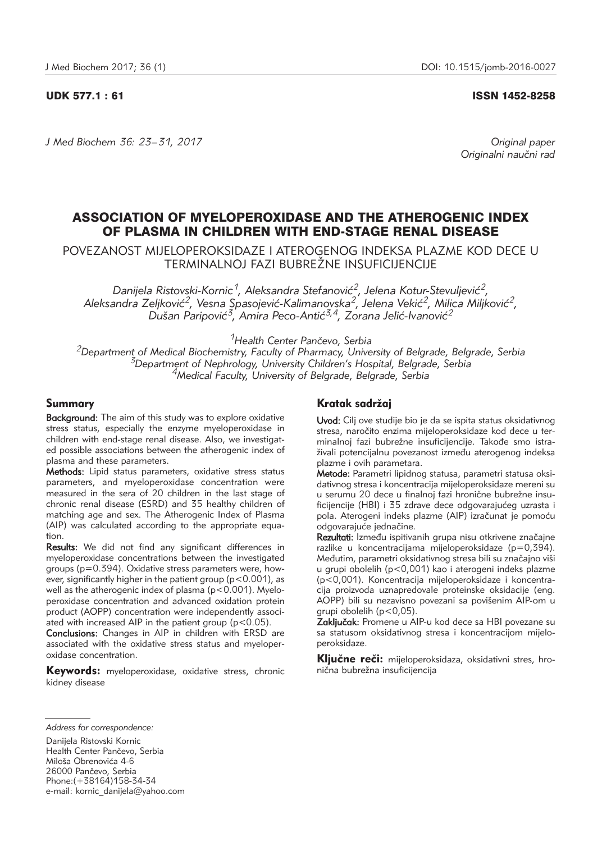# UDK 577.1 : 61 ISSN 1452-8258

*J Med Biochem 36: 23–31, 2017 Original paper*

Originalni naučni rad

# ASSOCIATION OF MYELOPEROXIDASE AND THE ATHEROGENIC INDEX OF PLASMA IN CHILDREN WITH END-STAGE RENAL DISEASE

POVEZANOST MIJELOPEROKSIDAZE I ATEROGENOG INDEKSA PLAZME KOD DECE U TERMINALNOJ FAZI BUBREŽNE INSUFICIJENCIJE

*Danijela Ristovski-Kornic1, Aleksandra Stefanovi}2, Jelena Kotur-Stevuljevi}2,*  Aleksandra Zeljković<sup>2</sup>, Vesna Spasojević-Kalimanovska<sup>2</sup>, Jelena Vekić<sup>2</sup>, Milica Miljković<sup>2</sup>, Dušan Paripović<sup>3</sup>, Amira Peco-Antić<sup>3,4</sup>, Zorana Jelić-Ivanović<sup>2</sup>

<sup>1</sup>Health Center Pančevo, Serbia<br><sup>2</sup>Department of Medical Biochemistry, Faculty of Pharmacy, University of Belgrade, Belgrade, Serbia<sup>3</sup><br><sup>3</sup>Department of Nephrology, University Children's Hospital, Belgrade, Serbia<sup>3</sup><br><sup>4</sup>

# Summary

Background: The aim of this study was to explore oxidative stress status, especially the enzyme myeloperoxidase in children with end-stage renal disease. Also, we investigated possible associations between the atherogenic index of plasma and these parameters.

Methods: Lipid status parameters, oxidative stress status parameters, and myeloperoxidase concentration were measured in the sera of 20 children in the last stage of chronic renal disease (ESRD) and 35 healthy children of matching age and sex. The Atherogenic Index of Plasma (AIP) was calculated according to the appropriate equation.

Results: We did not find any significant differences in myeloperoxidase concentrations between the investigated groups (p=0.394). Oxidative stress parameters were, however, significantly higher in the patient group (p<0.001), as well as the atherogenic index of plasma (p<0.001). Myeloperoxidase concentration and advanced oxidation protein product (AOPP) concentration were independently associated with increased AIP in the patient group  $(p<0.05)$ .

Conclusions: Changes in AIP in children with ERSD are associated with the oxidative stress status and myeloperoxidase concentration.

**Keywords:** myeloperoxidase, oxidative stress, chronic kidney disease

# Kratak sadržaj

Uvod: Cilj ove studije bio je da se ispita status oksidativnog stresa, naročito enzima mijeloperoksidaze kod dece u terminalnoj fazi bubrežne insuficijencije. Takođe smo istraživali potencijalnu povezanost između aterogenog indeksa plazme i ovih parametara.

Metode: Parametri lipidnog statusa, parametri statusa oksidativnog stresa i koncentracija mijeloperoksidaze mereni su u serumu 20 dece u finalnoj fazi hronične bubrežne insuficijencije (HBI) i 35 zdrave dece odgovarajućeg uzrasta i pola. Aterogeni indeks plazme (AIP) izračunat je pomoću odgovarajuće jednačine.

Rezultati: Između ispitivanih grupa nisu otkrivene značajne razlike u koncentracijama mijeloperoksidaze (p=0,394). Međutim, parametri oksidativnog stresa bili su značajno viši u grupi obolelih (p<0,001) kao i aterogeni indeks plazme (p<0,001). Koncentracija mijeloperoksidaze i koncentracija proizvoda uznapredovale proteinske oksidacije (eng. AOPP) bili su nezavisno povezani sa povišenim AIP-om u grupi obolelih (p<0,05).

Zaključak: Promene u AIP-u kod dece sa HBI povezane su sa statusom oksidativnog stresa i koncentracijom mijeloperoksidaze.

Ključne reči: mijeloperoksidaza, oksidativni stres, hronična bubrežna insuficijencija

Danijela Ristovski Kornic Health Center Pančevo, Serbia Miloša Obrenovića 4-6 26000 Pančevo, Serbia Phone:(+38164)158-34-34 e-mail: kornic\_danijela@yahoo.com

*Address for correspondence:*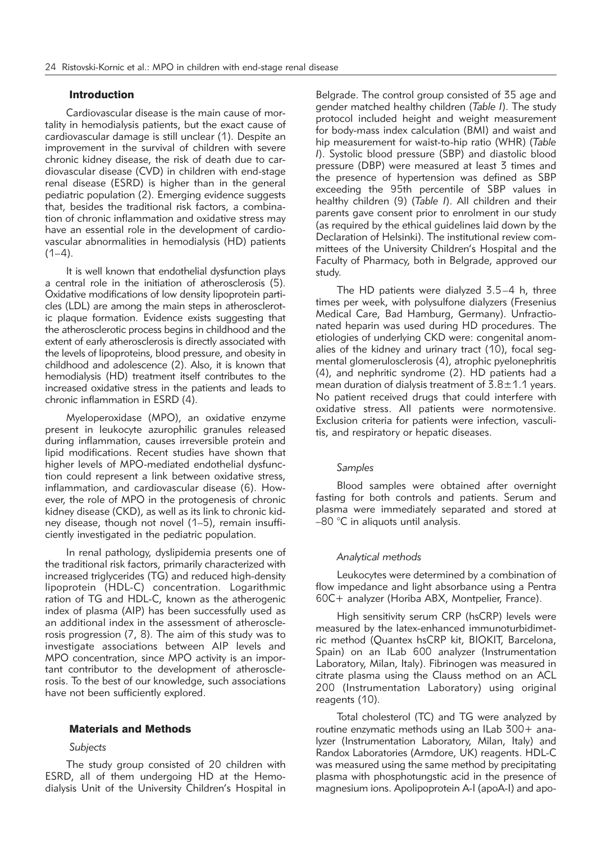# Introduction

Cardiovascular disease is the main cause of mortality in hemodialysis patients, but the exact cause of cardiovascular damage is still unclear (1). Despite an improvement in the survival of children with severe chronic kidney disease, the risk of death due to cardiovascular disease (CVD) in children with end-stage renal disease (ESRD) is higher than in the general pediatric population (2). Emerging evidence suggests that, besides the traditional risk factors, a combination of chronic inflammation and oxidative stress may have an essential role in the development of cardiovascular abnormalities in hemodialysis (HD) patients  $(1-4)$ .

It is well known that endothelial dysfunction plays a central role in the initiation of atherosclerosis (5). Oxidative modifications of low density lipoprotein particles (LDL) are among the main steps in atherosclerotic plaque formation. Evidence exists suggesting that the atherosclerotic process begins in childhood and the extent of early atherosclerosis is directly associated with the levels of lipoproteins, blood pressure, and obesity in childhood and adolescence (2). Also, it is known that hemodialysis (HD) treatment itself contributes to the increased oxidative stress in the patients and leads to chronic inflammation in ESRD (4).

Myeloperoxidase (MPO), an oxidative enzyme present in leukocyte azurophilic granules released during inflammation, causes irreversible protein and lipid modifications. Recent studies have shown that higher levels of MPO-mediated endothelial dysfunction could represent a link between oxidative stress, inflammation, and cardiovascular disease (6). However, the role of MPO in the protogenesis of chronic kidney disease (CKD), as well as its link to chronic kidney disease, though not novel (1–5), remain insufficiently investigated in the pediatric population.

In renal pathology, dyslipidemia presents one of the traditional risk factors, primarily characterized with increased triglycerides (TG) and reduced high-density lipoprotein (HDL-C) concentration. Logarithmic ration of TG and HDL-C, known as the atherogenic index of plasma (AIP) has been successfully used as an additional index in the assessment of atherosclerosis progression (7, 8). The aim of this study was to investigate associations between AIP levels and MPO concentration, since MPO activity is an important contributor to the development of atherosclerosis. To the best of our knowledge, such associations have not been sufficiently explored.

#### Materials and Methods

# *Subjects*

The study group consisted of 20 children with ESRD, all of them undergoing HD at the Hemodialysis Unit of the University Children's Hospital in Belgrade. The control group consisted of 35 age and gender matched healthy children (*Table I*). The study protocol included height and weight measurement for body-mass index calculation (BMI) and waist and hip measurement for waist-to-hip ratio (WHR) (*Table I*). Systolic blood pressure (SBP) and diastolic blood pressure (DBP) were measured at least 3 times and the presence of hypertension was defined as SBP exceeding the 95th percentile of SBP values in healthy children (9) (*Table I*). All children and their parents gave consent prior to enrolment in our study (as required by the ethical guidelines laid down by the Declaration of Helsinki). The institutional review committees of the University Children's Hospital and the Faculty of Pharmacy, both in Belgrade, approved our study.

The HD patients were dialyzed 3.5–4 h, three times per week, with polysulfone dialyzers (Fresenius Medical Care, Bad Hamburg, Germany). Unfractionated heparin was used during HD procedures. The etiologies of underlying CKD were: congenital anomalies of the kidney and urinary tract (10), focal segmental glomerulosclerosis (4), atrophic pyelonephritis (4), and nephritic syndrome (2). HD patients had a mean duration of dialysis treatment of  $3.8\pm1.1$  years. No patient received drugs that could interfere with oxidative stress. All patients were normotensive. Exclusion criteria for patients were infection, vasculitis, and respiratory or hepatic diseases.

#### *Samples*

Blood samples were obtained after overnight fasting for both controls and patients. Serum and plasma were immediately separated and stored at –80 °C in aliquots until analysis.

#### *Analytical methods*

Leukocytes were determined by a combination of flow impedance and light absorbance using a Pentra 60C+ analyzer (Horiba ABX, Montpelier, France).

High sensitivity serum CRP (hsCRP) levels were measured by the latex-enhanced immunoturbidimetric method (Quantex hsCRP kit, BIOKIT, Barcelona, Spain) on an ILab 600 analyzer (Instrumentation Laboratory, Milan, Italy). Fibrinogen was measured in citrate plasma using the Clauss method on an ACL 200 (Instrumentation Laboratory) using original reagents (10).

Total cholesterol (TC) and TG were analyzed by routine enzymatic methods using an ILab 300+ analyzer (Instrumentation Laboratory, Milan, Italy) and Randox Laboratories (Armdore, UK) reagents. HDL-C was measured using the same method by precipitating plasma with phosphotungstic acid in the presence of magnesium ions. Apolipoprotein A-I (apoA-I) and apo-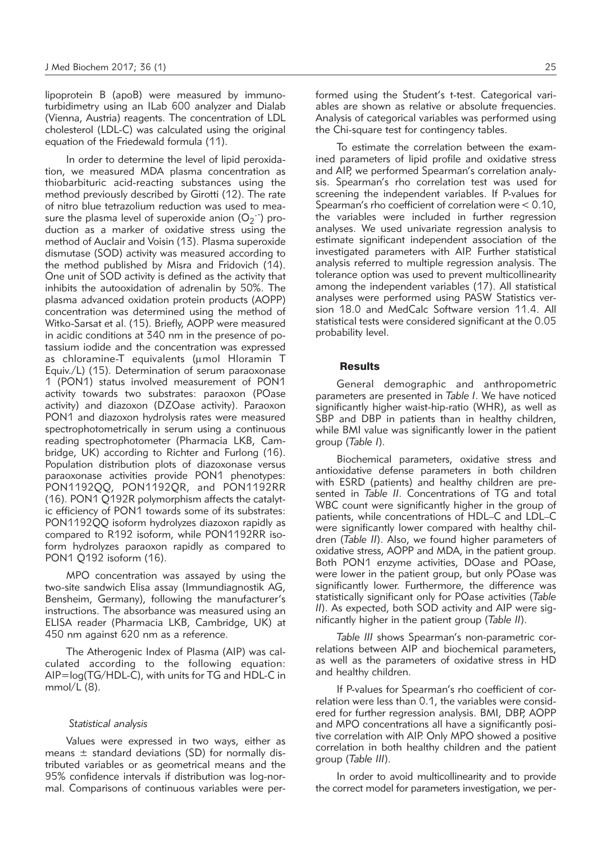lipoprotein B (apoB) were measured by immunoturbidimetry using an ILab 600 analyzer and Dialab (Vienna, Austria) reagents. The concentration of LDL cholesterol (LDL-C) was calculated using the original equation of the Friedewald formula (11).

In order to determine the level of lipid peroxidation, we measured MDA plasma concentration as thiobarbituric acid-reacting substances using the method previously described by Girotti (12). The rate of nitro blue tetrazolium reduction was used to measure the plasma level of superoxide anion  $(O_2^{\cdot})$  production as a marker of oxidative stress using the method of Auclair and Voisin (13). Plasma superoxide dismutase (SOD) activity was measured according to the method published by Misra and Fridovich  $(14)$ . One unit of SOD activity is defined as the activity that inhibits the autooxidation of adrenalin by 50%. The plasma advanced oxidation protein products (AOPP) concentration was determined using the method of Witko-Sarsat et al. (15). Briefly, AOPP were measured in acidic conditions at 340 nm in the presence of potassium iodide and the concentration was expressed as chloramine-T equivalents (umol Hloramin T Equiv./L) (15). Determination of serum paraoxonase 1 (PON1) status involved measurement of PON1 activity towards two substrates: paraoxon (POase activity) and diazoxon (DZOase activity). Paraoxon PON1 and diazoxon hydrolysis rates were measured spectrophotometrically in serum using a continuous reading spectrophotometer (Pharmacia LKB, Cambridge, UK) according to Richter and Furlong (16). Population distribution plots of diazoxonase versus paraoxonase activities provide PON1 phenotypes: PON1192QQ, PON1192QR, and PON1192RR (16). PON1 Q192R polymorphism affects the catalytic efficiency of PON1 towards some of its substrates: PON1192QQ isoform hydrolyzes diazoxon rapidly as compared to R192 isoform, while PON1192RR isoform hydrolyzes paraoxon rapidly as compared to PON1 Q192 isoform (16).

MPO concentration was assayed by using the two-site sandwich Elisa assay (Immundiagnostik AG, Bensheim, Germany), following the manufacturer's instructions. The absorbance was measured using an ELISA reader (Pharmacia LKB, Cambridge, UK) at 450 nm against 620 nm as a reference.

The Atherogenic Index of Plasma (AIP) was calculated according to the following equation: AIP=log(TG/HDL-C), with units for TG and HDL-C in mmol/L (8).

#### *Statistical analysis*

Values were expressed in two ways, either as means  $\pm$  standard deviations (SD) for normally distributed variables or as geometrical means and the 95% confidence intervals if distribution was log-normal. Comparisons of continuous variables were performed using the Student's t-test. Categorical variables are shown as relative or absolute frequencies. Analysis of categorical variables was performed using the Chi-square test for contingency tables.

To estimate the correlation between the examined parameters of lipid profile and oxidative stress and AIP, we performed Spearman's correlation analysis. Spearman's rho correlation test was used for screening the independent variables. If P-values for Spearman's rho coefficient of correlation were< 0.10, the variables were included in further regression analyses. We used univariate regression analysis to estimate significant independent association of the investigated parameters with AIP. Further statistical analysis referred to multiple regression analysis. The tolerance option was used to prevent multicollinearity among the independent variables (17). All statistical analyses were performed using PASW Statistics version 18.0 and MedCalc Software version 11.4. All statistical tests were considered significant at the 0.05 probability level.

#### **Results**

General demographic and anthropometric parameters are presented in *Table I*. We have noticed significantly higher waist-hip-ratio (WHR), as well as SBP and DBP in patients than in healthy children, while BMI value was significantly lower in the patient group (*Table I*).

Biochemical parameters, oxidative stress and antioxidative defense parameters in both children with ESRD (patients) and healthy children are presented in *Table II*. Concentrations of TG and total WBC count were significantly higher in the group of patients, while concentrations of HDL–C and LDL–C were significantly lower compared with healthy children (*Table II*). Also, we found higher parameters of oxidative stress, AOPP and MDA, in the patient group. Both PON1 enzyme activities, DOase and POase, were lower in the patient group, but only POase was significantly lower. Furthermore, the difference was statistically significant only for POase activities (*Table II*). As expected, both SOD activity and AIP were significantly higher in the patient group (*Table II*).

*Table III* shows Spearman's non-parametric correlations between AIP and biochemical parameters, as well as the parameters of oxidative stress in HD and healthy children.

If P-values for Spearman's rho coefficient of correlation were less than 0.1, the variables were considered for further regression analysis. BMI, DBP, AOPP and MPO concentrations all have a significantly positive correlation with AIP. Only MPO showed a positive correlation in both healthy children and the patient group (*Table III*).

In order to avoid multicollinearity and to provide the correct model for parameters investigation, we per -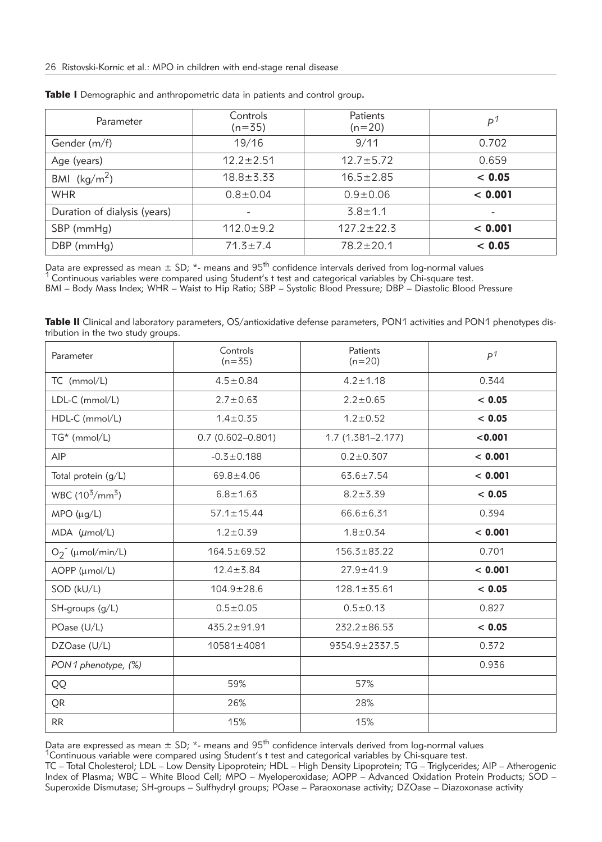| Parameter                    | Controls<br>$(n=35)$ | Patients<br>$(n=20)$ | P <sup>1</sup> |
|------------------------------|----------------------|----------------------|----------------|
| Gender (m/f)                 | 19/16                | 9/11                 | 0.702          |
| Age (years)                  | $12.2 \pm 2.51$      | $12.7 \pm 5.72$      | 0.659          |
| BMI $(kg/m2)$                | $18.8 + 5.33$        | $16.5 \pm 2.85$      | < 0.05         |
| <b>WHR</b>                   | $0.8 + 0.04$         | $0.9 + 0.06$         | < 0.001        |
| Duration of dialysis (years) |                      | $3.8 + 1.1$          | ۰              |
| SBP (mmHg)                   | $112.0 \pm 9.2$      | $127.2 \pm 22.3$     | < 0.001        |
| DBP (mmHg)                   | $71.3 \pm 7.4$       | $78.2 \pm 20.1$      | < 0.05         |

| Table I Demographic and anthropometric data in patients and control group. |  |  |  |
|----------------------------------------------------------------------------|--|--|--|
|                                                                            |  |  |  |

Data are expressed as mean  $\pm$  SD; \*- means and 95<sup>th</sup> confidence intervals derived from log-normal values<br><sup>1</sup> Continuous variables were compared using Student's t test and categorical variables by Chi-square test. BMI – Body Mass Index; WHR – Waist to Hip Ratio; SBP – Systolic Blood Pressure; DBP – Diastolic Blood Pressure

| Table II Clinical and laboratory parameters, OS/antioxidative defense parameters, PON1 activities and PON1 phenotypes dis- |  |  |
|----------------------------------------------------------------------------------------------------------------------------|--|--|
| tribution in the two study groups.                                                                                         |  |  |

| Parameter            | Controls<br>$(n=35)$ | Patients<br>$(n=20)$ | P <sup>1</sup> |
|----------------------|----------------------|----------------------|----------------|
| TC (mmol/L)          | $4.5 \pm 0.84$       | $4.2 \pm 1.18$       | 0.344          |
| LDL-C (mmol/L)       | $2.7 \pm 0.63$       | $2.2 \pm 0.65$       | < 0.05         |
| $HDL-C$ (mmol/L)     | $1.4 \pm 0.35$       | $1.2 \pm 0.52$       | < 0.05         |
| $TG^*$ (mmol/L)      | $0.7(0.602 - 0.801)$ | $1.7(1.381 - 2.177)$ | < 0.001        |
| AIP                  | $-0.3 \pm 0.188$     | $0.2 \pm 0.307$      | < 0.001        |
| Total protein (g/L)  | $69.8 + 4.06$        | $63.6 \pm 7.54$      | < 0.001        |
| WBC $(10^3/mm^3)$    | $6.8 + 1.63$         | $8.2 + 5.39$         | < 0.05         |
| $MPO$ ( $\mu$ g/L)   | $57.1 \pm 15.44$     | $66.6 \pm 6.31$      | 0.394          |
| $MDA$ ( $µmol/L$ )   | $1.2 \pm 0.39$       | $1.8 \pm 0.34$       | < 0.001        |
| $O_2$ (µmol/min/L)   | $164.5 \pm 69.52$    | $156.3 \pm 83.22$    | 0.701          |
| AOPP (µmol/L)        | $12.4 \pm 3.84$      | $27.9 + 41.9$        | < 0.001        |
| SOD (kU/L)           | $104.9 \pm 28.6$     | $128.1 \pm 35.61$    | < 0.05         |
| SH-groups (g/L)      | $0.5 + 0.05$         | $0.5 + 0.13$         | 0.827          |
| POase (U/L)          | $435.2 \pm 91.91$    | $232.2 \pm 86.53$    | < 0.05         |
| DZOase (U/L)         | 10581±4081           | $9354.9 \pm 2337.5$  | 0.372          |
| PON 1 phenotype, (%) |                      |                      | 0.936          |
| QQ                   | 59%                  | 57%                  |                |
| QR                   | 26%                  | 28%                  |                |
| <b>RR</b>            | 15%                  | 15%                  |                |

Data are expressed as mean  $\pm$  SD;  $*$ - means and 95<sup>th</sup> confidence intervals derived from log-normal values <sup>1</sup>Continuous variable were compared using Student's t test and categorical variables by Chi-square test.

TC – Total Cholesterol; LDL – Low Density Lipoprotein; HDL – High Density Lipoprotein; TG – Triglycerides; AIP – Atherogenic Index of Plasma; WBC – White Blood Cell; MPO – Myeloperoxidase; AOPP – Advanced Oxidation Protein Products; SOD – Superoxide Dismutase; SH-groups – Sulfhydryl groups; POase – Paraoxonase activity; DZOase – Diazoxonase activity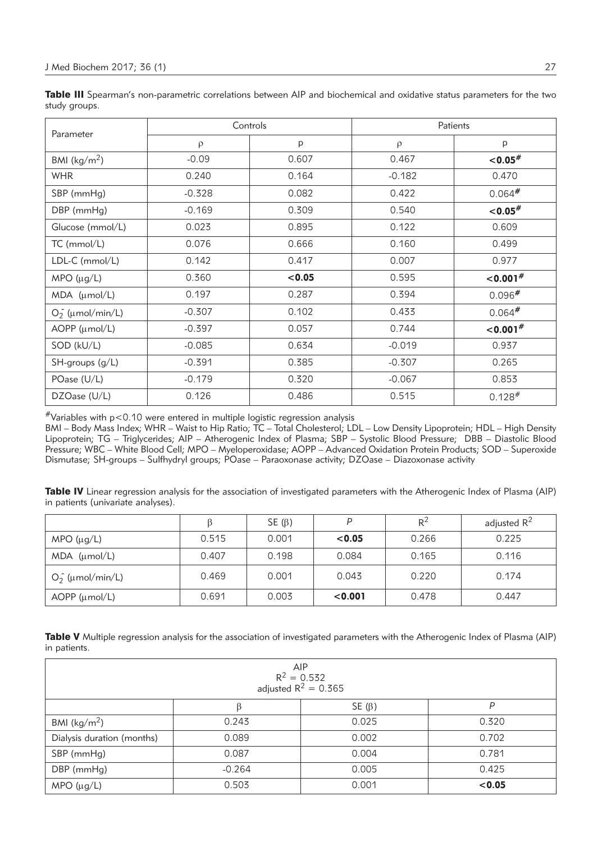| Parameter               | Controls |        | Patients |                      |
|-------------------------|----------|--------|----------|----------------------|
|                         | $\rho$   | p      | $\rho$   | p                    |
| BMI ( $\text{kg/m}^2$ ) | $-0.09$  | 0.607  | 0.467    | < 0.05#              |
| <b>WHR</b>              | 0.240    | 0.164  | $-0.182$ | 0.470                |
| SBP (mmHg)              | $-0.328$ | 0.082  | 0.422    | 0.064#               |
| DBP (mmHg)              | $-0.169$ | 0.309  | 0.540    | $0.05$ <sup>#</sup>  |
| Glucose (mmol/L)        | 0.023    | 0.895  | 0.122    | 0.609                |
| TC (mmol/L)             | 0.076    | 0.666  | 0.160    | 0.499                |
| LDL-C (mmol/L)          | 0.142    | 0.417  | 0.007    | 0.977                |
| $MPO$ ( $\mu$ g/L)      | 0.360    | < 0.05 | 0.595    | $0.001^{#}$          |
| MDA (µmol/L)            | 0.197    | 0.287  | 0.394    | 0.096#               |
| $O_2^-$ (µmol/min/L)    | $-0.307$ | 0.102  | 0.433    | $0.064$ <sup>#</sup> |
| AOPP (µmol/L)           | $-0.397$ | 0.057  | 0.744    | $0.001^{#}$          |
| SOD (kU/L)              | $-0.085$ | 0.634  | $-0.019$ | 0.937                |
| SH-groups (g/L)         | $-0.391$ | 0.385  | $-0.307$ | 0.265                |
| POase (U/L)             | $-0.179$ | 0.320  | $-0.067$ | 0.853                |
| DZOase (U/L)            | 0.126    | 0.486  | 0.515    | $0.128^{#}$          |

Table III Spearman's non-parametric correlations between AIP and biochemical and oxidative status parameters for the two study groups.

 $*$ Variables with p<0.10 were entered in multiple logistic regression analysis

BMI – Body Mass Index; WHR – Waist to Hip Ratio; TC – Total Cholesterol; LDL – Low Density Lipoprotein; HDL – High Density Lipoprotein; TG – Triglycerides; AIP – Atherogenic Index of Plasma; SBP – Systolic Blood Pressure; DBB – Diastolic Blood Pressure; WBC – White Blood Cell; MPO – Myeloperoxidase; AOPP – Advanced Oxidation Protein Products; SOD – Superoxide Dismutase; SH-groups – Sulfhydryl groups; POase – Paraoxonase activity; DZOase – Diazoxonase activity

Table IV Linear regression analysis for the association of investigated parameters with the Atherogenic Index of Plasma (AIP) in patients (univariate analyses).

|                      | ß     | $SE(\beta)$ | P       | $R^2$ | adjusted $R^2$ |
|----------------------|-------|-------------|---------|-------|----------------|
| $MPO$ ( $\mu$ g/L)   | 0.515 | 0.001       | < 0.05  | 0.266 | 0.225          |
| MDA (µmol/L)         | 0.407 | 0.198       | 0.084   | 0.165 | 0.116          |
| $O_2^-$ (µmol/min/L) | 0.469 | 0.001       | 0.043   | 0.220 | 0.174          |
| AOPP (µmol/L)        | 0.691 | 0.003       | < 0.001 | 0.478 | 0.447          |

Table V Multiple regression analysis for the association of investigated parameters with the Atherogenic Index of Plasma (AIP) in patients.

| <b>AIP</b><br>$R^2 = 0.532$<br>adjusted $R^2 = 0.365$ |                       |       |        |  |  |
|-------------------------------------------------------|-----------------------|-------|--------|--|--|
|                                                       | P<br>$SE(\beta)$<br>β |       |        |  |  |
| BMI ( $\text{kg/m}^2$ )                               | 0.243                 | 0.025 | 0.320  |  |  |
| Dialysis duration (months)                            | 0.089                 | 0.002 | 0.702  |  |  |
| SBP (mmHg)                                            | 0.087                 | 0.004 | 0.781  |  |  |
| DBP (mmHg)                                            | $-0.264$              | 0.005 | 0.425  |  |  |
| $MPO$ ( $\mu$ g/L)                                    | 0.503                 | 0.001 | < 0.05 |  |  |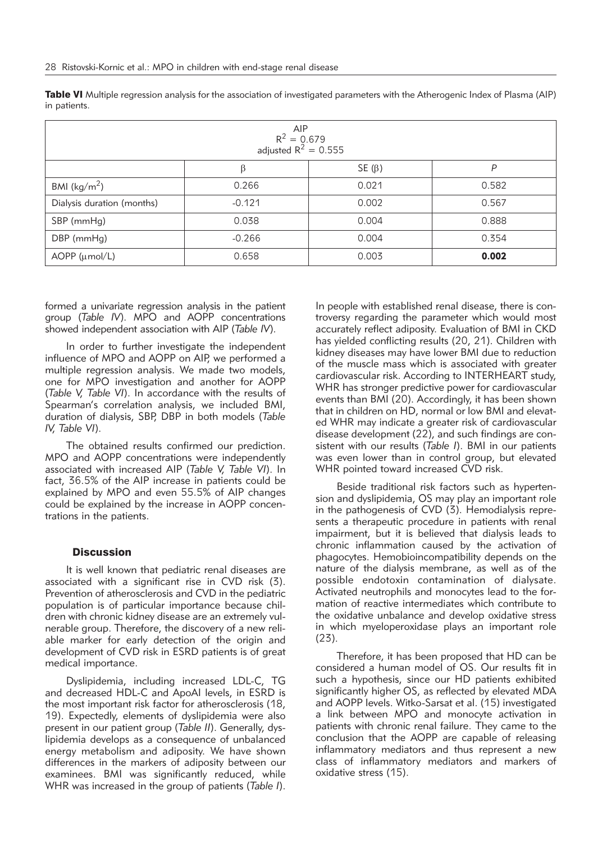| <b>AIP</b><br>$R^2 = 0.679$<br>adjusted $R^2 = 0.555$ |          |       |       |  |  |
|-------------------------------------------------------|----------|-------|-------|--|--|
| Ρ<br>$SE(\beta)$<br>ß                                 |          |       |       |  |  |
| BMI ( $\text{kg/m}^2$ )                               | 0.266    | 0.021 | 0.582 |  |  |
| Dialysis duration (months)                            | $-0.121$ | 0.002 | 0.567 |  |  |
| SBP (mmHg)                                            | 0.038    | 0.004 | 0.888 |  |  |
| DBP (mmHg)                                            | $-0.266$ | 0.004 | 0.354 |  |  |
| AOPP (µmol/L)                                         | 0.658    | 0.003 | 0.002 |  |  |

Table VI Multiple regression analysis for the association of investigated parameters with the Atherogenic Index of Plasma (AIP) in patients.

formed a univariate regression analysis in the patient group (*Table IV*). MPO and AOPP concentrations showed independent association with AIP (*Table IV*).

In order to further investigate the independent influence of MPO and AOPP on AIP, we performed a multiple regression analysis. We made two models, one for MPO investigation and another for AOPP (*Table V, Table VI*). In accordance with the results of Spearman's correlation analysis, we included BMI, duration of dialysis, SBP, DBP in both models (*Table IV, Table VI*).

The obtained results confirmed our prediction. MPO and AOPP concentrations were independently associated with increased AIP (*Table V, Table VI*). In fact, 36.5% of the AIP increase in patients could be explained by MPO and even 55.5% of AIP changes could be explained by the increase in AOPP concentrations in the patients.

# **Discussion**

It is well known that pediatric renal diseases are associated with a significant rise in CVD risk (3). Prevention of atherosclerosis and CVD in the pediatric population is of particular importance because children with chronic kidney disease are an extremely vulnerable group. Therefore, the discovery of a new reliable marker for early detection of the origin and development of CVD risk in ESRD patients is of great medical importance.

Dyslipidemia, including increased LDL-C, TG and decreased HDL-C and ApoAI levels, in ESRD is the most important risk factor for atherosclerosis (18, 19). Expectedly, elements of dyslipidemia were also present in our patient group (*Table II*). Generally, dyslipidemia develops as a consequence of unbalanced energy metabolism and adiposity. We have shown differences in the markers of adiposity between our exam inees. BMI was significantly reduced, while WHR was increased in the group of patients (*Table I*).

In people with established renal disease, there is controversy regarding the parameter which would most accurately reflect adiposity. Evaluation of BMI in CKD has yielded conflicting results (20, 21). Children with kidney diseases may have lower BMI due to reduction of the muscle mass which is associated with greater cardiovascular risk. According to INTERHEART study, WHR has stronger predictive power for cardiovascular events than BMI (20). Accordingly, it has been shown that in children on HD, normal or low BMI and elevated WHR may indicate a greater risk of cardiovascular disease development (22), and such findings are consistent with our results (*Table I*). BMI in our patients was even lower than in control group, but elevated WHR pointed toward increased CVD risk.

Beside traditional risk factors such as hypertension and dyslipidemia, OS may play an important role in the pathogenesis of CVD (3). Hemodialysis represents a therapeutic procedure in patients with renal impairment, but it is believed that dialysis leads to chronic inflammation caused by the activation of phagocytes. Hemobioincompatibility depends on the nature of the dialysis membrane, as well as of the possible endotoxin contamination of dialysate. Activated neutrophils and monocytes lead to the formation of reactive intermediates which contribute to the oxidative unbalance and develop oxidative stress in which myeloperoxidase plays an important role (23).

Therefore, it has been proposed that HD can be considered a human model of OS. Our results fit in such a hypothesis, since our HD patients exhibited significantly higher OS, as reflected by elevated MDA and AOPP levels. Witko-Sarsat et al. (15) investigated a link between MPO and monocyte activation in patients with chronic renal failure. They came to the conclusion that the AOPP are capable of releasing inflammatory mediators and thus represent a new class of inflammatory mediators and markers of oxidative stress (15).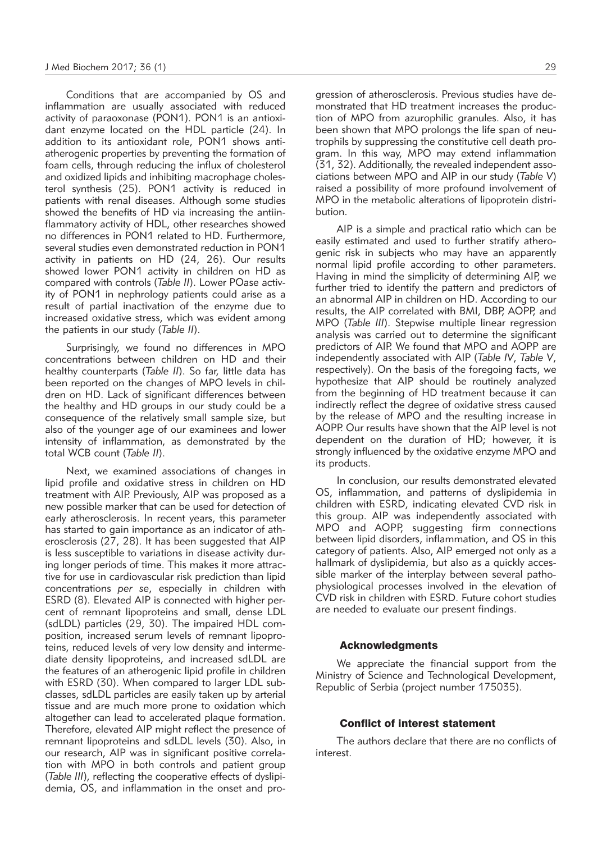Conditions that are accompanied by OS and inflammation are usually associated with reduced activity of paraoxonase (PON1). PON1 is an antioxidant enzyme located on the HDL particle (24). In addition to its antioxidant role, PON1 shows antiatherogenic properties by preventing the formation of foam cells, through reducing the influx of cholesterol and oxidized lipids and inhibiting macrophage cholesterol synthesis (25). PON1 activity is reduced in patients with renal diseases. Although some studies showed the benefits of HD via increasing the antiinflammatory activity of HDL, other researches showed no differences in PON1 related to HD. Furthermore, several studies even demonstrated reduction in PON1 activity in patients on HD (24, 26). Our results showed lower PON1 activity in children on HD as compared with controls (*Table II*). Lower POase activity of PON1 in nephrology patients could arise as a result of partial inactivation of the enzyme due to increased oxidative stress, which was evident among the patients in our study (*Table II*).

Surprisingly, we found no differences in MPO concentrations between children on HD and their healthy counterparts (*Table II*). So far, little data has been reported on the changes of MPO levels in children on HD. Lack of significant differences between the healthy and HD groups in our study could be a consequence of the relatively small sample size, but also of the younger age of our examinees and lower intensity of inflammation, as demonstrated by the total WCB count (*Table II*).

Next, we examined associations of changes in lipid profile and oxidative stress in children on HD treatment with AIP. Previously, AIP was proposed as a new possible marker that can be used for detection of early atherosclerosis. In recent years, this parameter has started to gain importance as an indicator of atherosclerosis (27, 28). It has been suggested that AIP is less susceptible to variations in disease activity during longer periods of time. This makes it more attractive for use in cardiovascular risk prediction than lipid concentrations *per se*, especially in children with ESRD (8). Elevated AIP is connected with higher percent of remnant lipoproteins and small, dense LDL (sdLDL) particles (29, 30). The impaired HDL composition, increased serum levels of remnant lipoproteins, reduced levels of very low density and intermediate density lipoproteins, and increased sdLDL are the features of an atherogenic lipid profile in children with ESRD (30). When compared to larger LDL subclasses, sdLDL particles are easily taken up by arterial tissue and are much more prone to oxidation which altogether can lead to accelerated plaque formation. Therefore, elevated AIP might reflect the presence of remnant lipoproteins and sdLDL levels (30). Also, in our research, AIP was in significant positive correlation with MPO in both controls and patient group (*Table III*), reflecting the cooperative effects of dyslipidemia, OS, and inflammation in the onset and pro-

gression of atherosclerosis. Previous studies have demonstrated that HD treatment increases the production of MPO from azurophilic granules. Also, it has been shown that MPO prolongs the life span of neutrophils by suppressing the constitutive cell death program. In this way, MPO may extend inflammation (31, 32). Additionally, the revealed independent associations between MPO and AIP in our study (*Table V*) raised a possibility of more profound involvement of MPO in the metabolic alterations of lipoprotein distribution.

AIP is a simple and practical ratio which can be easily estimated and used to further stratify atherogenic risk in subjects who may have an apparently normal lipid profile according to other parameters. Having in mind the simplicity of determining AIP, we further tried to identify the pattern and predictors of an abnormal AIP in children on HD. According to our results, the AIP correlated with BMI, DBP, AOPP, and MPO (*Table III*). Stepwise multiple linear regression analysis was carried out to determine the significant predictors of AIP. We found that MPO and AOPP are independently associated with AIP (*Table IV*, *Table V*, respectively). On the basis of the foregoing facts, we hypothesize that AIP should be routinely analyzed from the beginning of HD treatment because it can indirectly reflect the degree of oxidative stress caused by the release of MPO and the resulting increase in AOPP. Our results have shown that the AIP level is not dependent on the duration of HD; however, it is strongly influenced by the oxidative enzyme MPO and its products.

In conclusion, our results demonstrated elevated OS, inflammation, and patterns of dyslipidemia in children with ESRD, indicating elevated CVD risk in this group. AIP was independently associated with MPO and AOPP, suggesting firm connections between lipid disorders, inflammation, and OS in this category of patients. Also, AIP emerged not only as a hallmark of dyslipidemia, but also as a quickly accessible marker of the interplay between several pathophysiological processes involved in the elevation of CVD risk in children with ESRD. Future cohort studies are needed to evaluate our present findings.

# Acknowledgments

We appreciate the financial support from the Ministry of Science and Technological Development, Republic of Serbia (project number 175035).

### Conflict of interest statement

The authors declare that there are no conflicts of interest.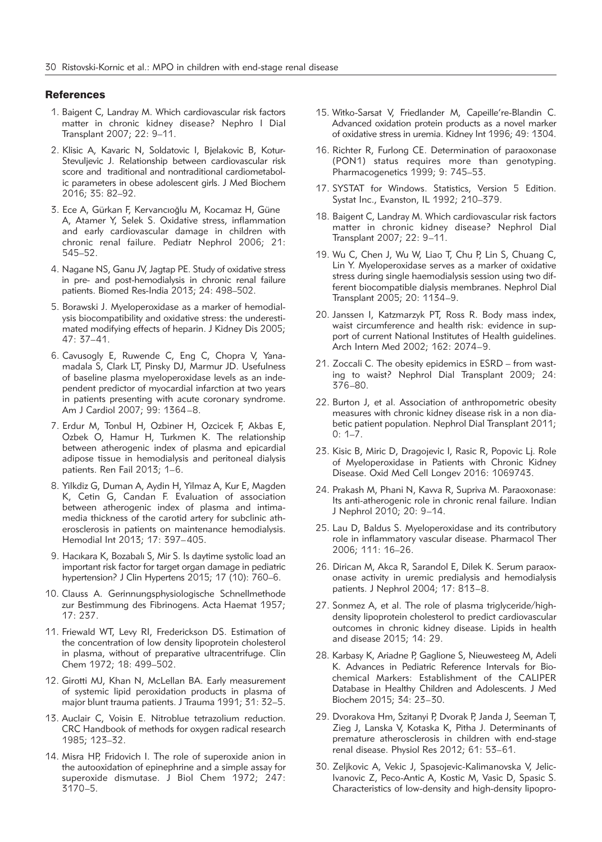#### **References**

- 1. Baigent C, Landray M. Which cardiovascular risk factors matter in chronic kidney disease? Nephro l Dial Transplant 2007; 22: 9–11.
- 2. Klisic A, Kavaric N, Soldatovic I, Bjelakovic B, Kotur-Stevuljevic J. Relationship between cardiovascular risk score and traditional and nontraditional cardiometabolic parameters in obese adolescent girls. J Med Biochem 2016; 35: 82–92.
- 3. Ece A, Gürkan F, Kervancıoğlu M, Kocamaz H, Güne A, Atamer Y, Selek S. Oxidative stress, inflammation and early cardiovascular damage in children with chronic renal failure. Pediatr Nephrol 2006; 21: 545–52.
- 4. Nagane NS, Ganu JV, Jagtap PE. Study of oxidative stress in pre- and post-hemodialysis in chronic renal failure patients. Biomed Res-India 2013; 24: 498–502.
- 5. Borawski J. Myeloperoxidase as a marker of hemodialysis biocompatibility and oxidative stress: the underestimated modifying effects of heparin. J Kidney Dis 2005; 47: 37–41.
- 6. Cavusogly E, Ruwende C, Eng C, Chopra V, Yana madala S, Clark LT, Pinsky DJ, Marmur JD. Usefulness of baseline plasma myeloperoxidase levels as an independent predictor of myocardial infarction at two years in patients presenting with acute coronary syndrome. Am J Cardiol 2007; 99: 1364–8.
- 7. Erdur M, Tonbul H, Ozbiner H, Ozcicek F, Akbas E, Ozbek O, Hamur H, Turkmen K. The relationship between atherogenic index of plasma and epicardial adipose tissue in hemodialysis and peritoneal dialysis patients. Ren Fail 2013; 1–6.
- 8. Yilkdiz G, Duman A, Aydin H, Yilmaz A, Kur E, Magden K, Cetin G, Candan F. Evaluation of association between atherogenic index of plasma and intimamedia thickness of the carotid artery for subclinic atherosclerosis in patients on maintenance hemodialysis. Hemodial Int 2013; 17: 397–405.
- 9. Hacıkara K, Bozabalı S, Mir S. Is daytime systolic load an important risk factor for target organ damage in pediatric hypertension? J Clin Hypertens 2015; 17 (10): 760–6.
- 10. Clauss A. Gerinnungsphysiologische Schnellmethode zur Bestimmung des Fibrinogens. Acta Haemat 1957; 17: 237.
- 11. Friewald WT, Levy RI, Frederickson DS. Estimation of the concentration of low density lipoprotein cholesterol in plasma, without of preparative ultracentrifuge. Clin Chem 1972; 18: 499–502.
- 12. Girotti MJ, Khan N, McLellan BA. Early measurement of systemic lipid peroxidation products in plasma of major blunt trauma patients. J Trauma 1991; 31: 32–5.
- 13. Auclair C, Voisin E. Nitroblue tetrazolium reduction. CRC Handbook of methods for oxygen radical research 1985; 123–32.
- 14. Misra HP, Fridovich I. The role of superoxide anion in the autooxidation of epinephrine and a simple assay for superoxide dismutase. J Biol Chem 1972; 247: 3170–5.
- 15. Witko-Sarsat V, Friedlander M, Capeille're-Blandin C. Advanced oxidation protein products as a novel marker of oxidative stress in uremia. Kidney Int 1996; 49: 1304.
- 16. Richter R, Furlong CE. Determination of paraoxonase (PON1) status requires more than genotyping. Pharmacogenetics 1999; 9: 745-53.
- 17. SYSTAT for Windows. Statistics, Version 5 Edition. Systat Inc., Evanston, IL 1992; 210–379.
- 18. Baigent C, Landray M. Which cardiovascular risk factors matter in chronic kidney disease? Nephrol Dial Transplant 2007; 22: 9–11.
- 19. Wu C, Chen J, Wu W, Liao T, Chu P, Lin S, Chuang C, Lin Y. Myeloperoxidase serves as a marker of oxidative stress during single haemodialysis session using two different biocompatible dialysis membranes. Nephrol Dial Transplant 2005; 20: 1134–9.
- 20. Janssen I, Katzmarzyk PT, Ross R. Body mass index, waist circumference and health risk: evidence in support of current National Institutes of Health guidelines. Arch Intern Med 2002; 162: 2074–9.
- 21. Zoccali C. The obesity epidemics in ESRD from wasting to waist? Nephrol Dial Transplant 2009; 24: 376–80.
- 22. Burton J, et al. Association of anthropometric obesity measures with chronic kidney disease risk in a non diabetic patient population. Nephrol Dial Transplant 2011;  $0: 1 - 7$ .
- 23. Kisic B, Miric D, Dragojevic I, Rasic R, Popovic Lj. Role of Myeloperoxidase in Patients with Chronic Kidney Disease. Oxid Med Cell Longev 2016: 1069743.
- 24. Prakash M, Phani N, Kavva R, Supriva M. Paraoxonase: Its anti-atherogenic role in chronic renal failure. Indian J Nephrol 2010; 20: 9–14.
- 25. Lau D, Baldus S. Myeloperoxidase and its contributory role in inflammatory vascular disease. Pharmacol Ther 2006; 111: 16–26.
- 26. Dirican M, Akca R, Sarandol E, Dilek K. Serum paraoxonase activity in uremic predialysis and hemodialysis patients. J Nephrol 2004; 17: 813–8.
- 27. Sonmez A, et al. The role of plasma triglyceride/highdensity lipoprotein cholesterol to predict cardiovascular outcomes in chronic kidney disease. Lipids in health and disease 2015; 14: 29.
- 28. Karbasy K, Ariadne P, Gaglione S, Nieuwesteeg M, Adeli K. Advances in Pediatric Reference Intervals for Biochemical Markers: Establishment of the CALIPER Database in Healthy Children and Adolescents. J Med Biochem 2015; 34: 23–30.
- 29. Dvorakova Hm, Szitanyi P, Dvorak P, Janda J, Seeman T, Zieg J, Lanska V, Kotaska K, Pitha J. Determinants of premature atherosclerosis in children with end-stage renal disease. Physiol Res 2012; 61: 53–61.
- 30. Zeljkovic A, Vekic J, Spasojevic-Kalimanovska V, Jelic-Ivanovic Z, Peco-Antic A, Kostic M, Vasic D, Spasic S. Characteristics of low-density and high-density lipopro-